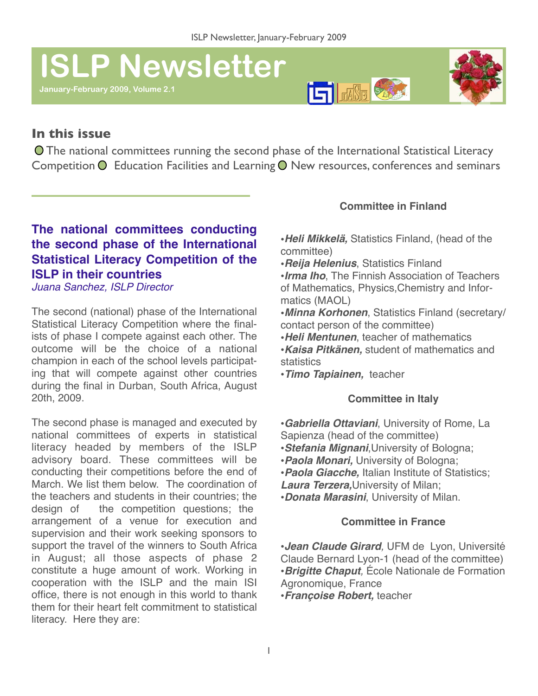# **ISLP Newsletter**

**January-February 2009, Volume 2.1** 





## **In this issue**

 The national committees running the second phase of the International Statistical Literacy Competition  $\bigcirc$  Education Facilities and Learning  $\bigcirc$  New resources, conferences and seminars

## **The national committees conducting the second phase of the International Statistical Literacy Competition of the ISLP in their countries**

*Juana Sanchez, ISLP Director*

The second (national) phase of the International Statistical Literacy Competition where the finalists of phase I compete against each other. The outcome will be the choice of a national champion in each of the school levels participating that will compete against other countries during the final in Durban, South Africa, August 20th, 2009.

The second phase is managed and executed by national committees of experts in statistical literacy headed by members of the ISLP advisory board. These committees will be conducting their competitions before the end of March. We list them below. The coordination of the teachers and students in their countries; the design of the competition questions; the arrangement of a venue for execution and supervision and their work seeking sponsors to support the travel of the winners to South Africa in August; all those aspects of phase 2 constitute a huge amount of work. Working in cooperation with the ISLP and the main ISI office, there is not enough in this world to thank them for their heart felt commitment to statistical literacy. Here they are:

## **Committee in Finland**

•*Heli Mikkelä,* Statistics Finland, (head of the committee)

•*Reija Helenius*, Statistics Finland

•*Irma Iho*, The Finnish Association of Teachers of Mathematics, Physics,Chemistry and Informatics (MAOL)

- •*Minna Korhonen*, Statistics Finland (secretary/ contact person of the committee)
- •*Heli Mentunen*, teacher of mathematics
- •*Kaisa Pitkänen,* student of mathematics and statistics
- •*Timo Tapiainen,* teacher

#### **Committee in Italy**

•*Gabriella Ottaviani*, University of Rome, La Sapienza (head of the committee)

- •*Stefania Mignani*,University of Bologna;
- •*Paola Monari,* University of Bologna;
- •*Paola Giacche,* Italian Institute of Statistics;

*Laura Terzera,*University of Milan;

•*Donata Marasini*, University of Milan.

#### **Committee in France**

•*Jean Claude Girard,* UFM de Lyon, Université Claude Bernard Lyon-1 (head of the committee) •*Brigitte Chaput,* École Nationale de Formation Agronomique, France •*Françoise Robert,* teacher !!

1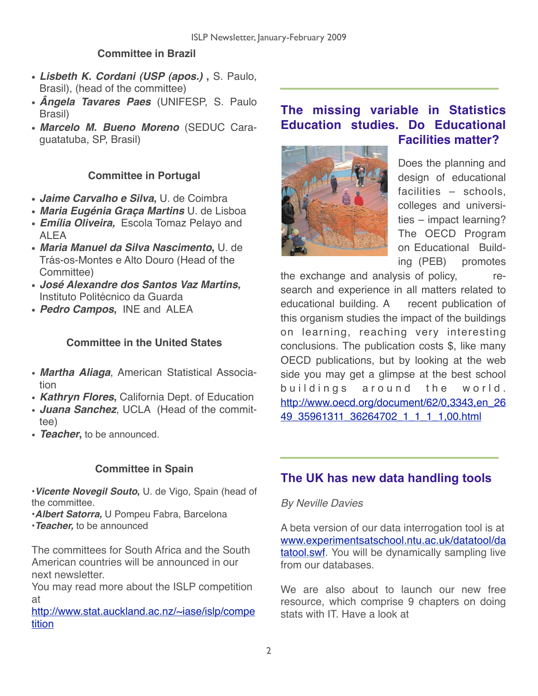## **Committee in Brazil**

- **•** *Lisbeth K. Cordani (USP (apos.)* **,** S. Paulo, Brasil), (head of the committee)
- **•** *Ângela Tavares Paes* (UNIFESP, S. Paulo Brasil)
- **•** *Marcelo M. Bueno Moreno* (SEDUC Caraguatatuba, SP, Brasil)

## **Committee in Portugal**

- **•** *Jaime Carvalho e Silva***,** U. de Coimbra
- **•** *Maria Eugénia Graça Martins* U. de Lisboa
- **•** *Emília Oliveira,*Escola Tomaz Pelayo and ALEA
- **•** *Maria Manuel da Silva Nascimento***,** U. de Trás-os-Montes e Alto Douro (Head of the Committee)
- **•** *José Alexandre dos Santos Vaz Martins,* Instituto Politécnico da Guarda
- **•** *Pedro Campos***,** INE and ALEA

### **Committee in the United States**

- *Martha Aliaga*, American Statistical Association
- *Kathryn Flores***,** California Dept. of Education
- *Juana Sanchez*, UCLA (Head of the committee)
- *Teacher***,** to be announced.

## **Committee in Spain**

•*Vicente Novegil Souto***,** U. de Vigo, Spain (head of the committee.

•*Albert Satorra,* U Pompeu Fabra, Barcelona

•*Teacher,* to be announced

The committees for South Africa and the South American countries will be announced in our next newsletter.

You may read more about the ISLP competition at

[http://www.stat.auckland.ac.nz/~iase/islp/compe](http://www.stat.auckland.ac.nz/~iase/islp/competition) [tition](http://www.stat.auckland.ac.nz/~iase/islp/competition)

# **The missing variable in Statistics Education studies. Do Educational Facilities matter?**



Does the planning and design of educational facilities – schools, colleges and universities – impact learning? The OECD Program on Educational Building (PEB) promotes

the exchange and analysis of policy, research and experience in all matters related to educational building. A recent publication of this organism studies the impact of the buildings on learning, reaching very interesting conclusions. The publication costs \$, like many OECD publications, but by looking at the web side you may get a glimpse at the best school buildings around the world. [http://www.oecd.org/document/62/0,3343,en\\_26](http://www.oecd.org/document/62/0,3343,en_2649_35961311_36264702_1_1_1_1,00.html) [49\\_35961311\\_36264702\\_1\\_1\\_1\\_1,00.html](http://www.oecd.org/document/62/0,3343,en_2649_35961311_36264702_1_1_1_1,00.html)

## **The UK has new data handling tools**

#### *By Neville Davies*

A beta version of our data interrogation tool is at [www.experimentsatschool.ntu.ac.uk/datatool/da](http://www.experimentsatschool.ntu.ac.uk/datatool/datatool.swf) [tatool.swf](http://www.experimentsatschool.ntu.ac.uk/datatool/datatool.swf). You will be dynamically sampling live from our databases.

We are also about to launch our new free resource, which comprise 9 chapters on doing stats with IT. Have a look at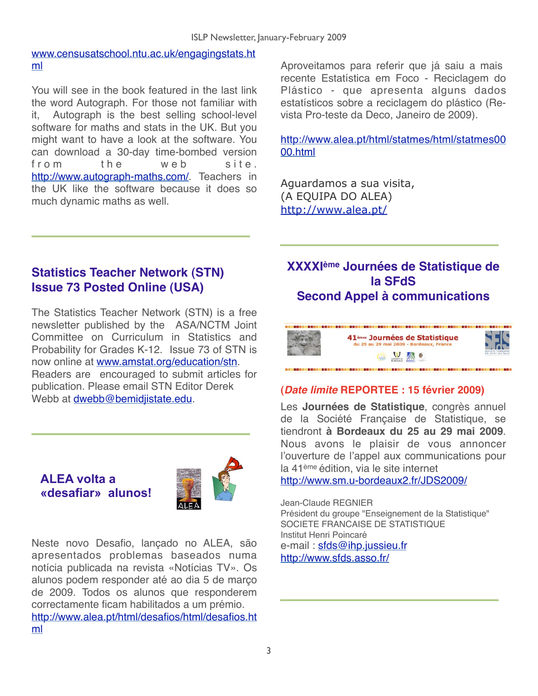#### [www.censusatschool.ntu.ac.uk/engagingstats.ht](http://www.censusatschool.ntu.ac.uk/engagingstats.html) [ml](http://www.censusatschool.ntu.ac.uk/engagingstats.html)

You will see in the book featured in the last link the word Autograph. For those not familiar with it, Autograph is the best selling school-level software for maths and stats in the UK. But you might want to have a look at the software. You can download a 30-day time-bombed version from the web site. [http://www.autograph-maths.com/.](http://www.autograph-maths.com/) Teachers in the UK like the software because it does so much dynamic maths as well.

Aproveitamos para referir que já saiu a mais recente Estatística em Foco - Reciclagem do Plástico - que apresenta alguns dados estatísticos sobre a reciclagem do plástico (Revista Pro-teste da Deco, Janeiro de 2009).

[http://www.alea.pt/html/statmes/html/statmes00](http://www.alea.pt/html/statmes/html/statmes0000.html) [00.html](http://www.alea.pt/html/statmes/html/statmes0000.html)

Aguardamos a sua visita, (A EQUIPA DO ALEA) <http://www.alea.pt/>

## **Statistics Teacher Network (STN) Issue 73 Posted Online (USA)**

The Statistics Teacher Network (STN) is a free newsletter published by the ASA/NCTM Joint Committee on Curriculum in Statistics and Probability for Grades K-12. Issue 73 of STN is now online at [www.amstat.org/education/stn](http://www.amstat.org/education/stn). Readers are encouraged to submit articles for publication. Please email STN Editor Derek Webb at [dwebb@bemidjistate.edu.](mailto:dwebb@bemidjistate.edu)



Neste novo Desafio, lançado no ALEA, são apresentados problemas baseados numa notícia publicada na revista «Notícias TV». Os alunos podem responder até ao dia 5 de março de 2009. Todos os alunos que responderem correctamente ficam habilitados a um prémio. [http://www.alea.pt/html/desafios/html/desafios.ht](http://www.alea.pt/html/desafios/html/desafios.html)

[ml](http://www.alea.pt/html/desafios/html/desafios.html)

## **XXXXIème Journées de Statistique de la SFdS Second Appel à communications**



## **(***Date limite* **REPORTEE : 15 février 2009)**

Les **Journées de Statistique**, congrès annuel de la Société Française de Statistique, se tiendront **à Bordeaux du 25 au 29 mai 2009**. Nous avons le plaisir de vous annoncer l"ouverture de l"appel aux communications pour la 41ème édition, via le site internet

<http://www.sm.u-bordeaux2.fr/JDS2009/>

Jean-Claude REGNIER Président du groupe "Enseignement de la Statistique" SOCIETE FRANCAISE DE STATISTIQUE Institut Henri Poincaré e-mail : [sfds@ihp.jussieu.fr](mailto:sfds@ihp.jussieu.fr) <http://www.sfds.asso.fr/>